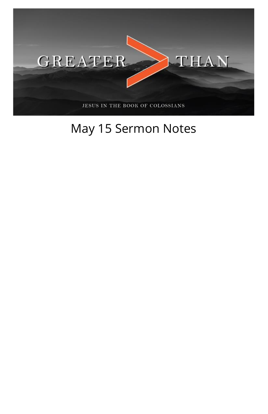

## May 15 Sermon Notes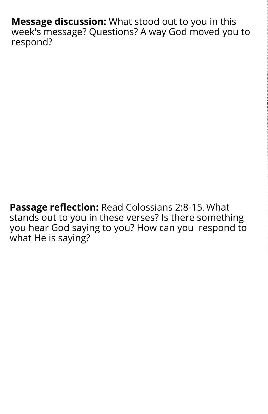**Message discussion:** What stood out to you in this week's message? Questions? A way God moved you to respond?

**Passage reflection:** Read Colossians 2:8-15. What stands out to you in these verses? Is there something you hear God saying to you? How can you respond to what He is saying?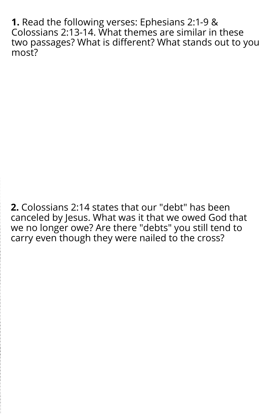**1.** Read the following verses: Ephesians 2:1-9 & Colossians 2:13-14. What themes are similar in these two passages? What is different? What stands out to you most?

**2.** Colossians 2:14 states that our "debt" has been canceled by Jesus. What was it that we owed God that we no longer owe? Are there "debts" you still tend to carry even though they were nailed to the cross?